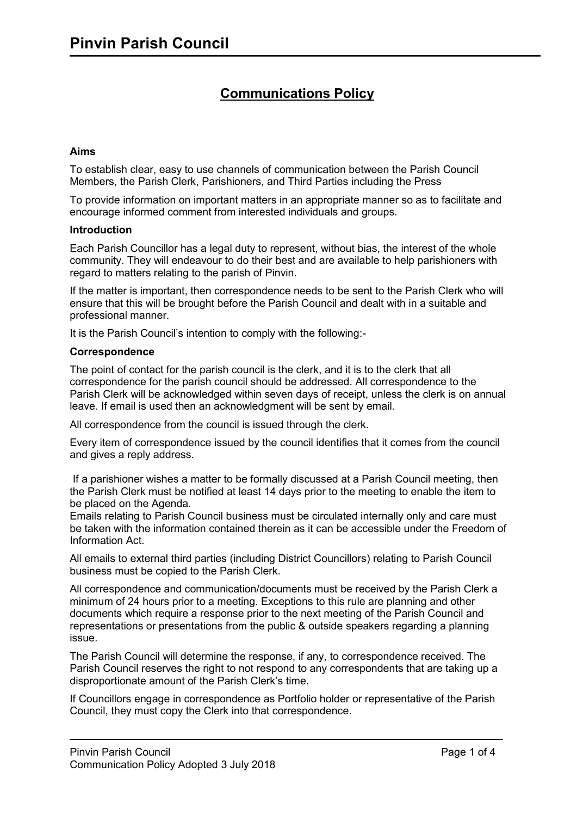# **Communications Policy**

## **Aims**

To establish clear, easy to use channels of communication between the Parish Council Members, the Parish Clerk, Parishioners, and Third Parties including the Press

To provide information on important matters in an appropriate manner so as to facilitate and encourage informed comment from interested individuals and groups.

#### **Introduction**

Each Parish Councillor has a legal duty to represent, without bias, the interest of the whole community. They will endeavour to do their best and are available to help parishioners with regard to matters relating to the parish of Pinvin.

If the matter is important, then correspondence needs to be sent to the Parish Clerk who will ensure that this will be brought before the Parish Council and dealt with in a suitable and professional manner.

It is the Parish Council's intention to comply with the following:-

### **Correspondence**

The point of contact for the parish council is the clerk, and it is to the clerk that all correspondence for the parish council should be addressed. All correspondence to the Parish Clerk will be acknowledged within seven days of receipt, unless the clerk is on annual leave. If email is used then an acknowledgment will be sent by email.

All correspondence from the council is issued through the clerk.

Every item of correspondence issued by the council identifies that it comes from the council and gives a reply address.

If a parishioner wishes a matter to be formally discussed at a Parish Council meeting, then the Parish Clerk must be notified at least 14 days prior to the meeting to enable the item to be placed on the Agenda.

Emails relating to Parish Council business must be circulated internally only and care must be taken with the information contained therein as it can be accessible under the Freedom of Information Act.

All emails to external third parties (including District Councillors) relating to Parish Council business must be copied to the Parish Clerk.

All correspondence and communication/documents must be received by the Parish Clerk a minimum of 24 hours prior to a meeting. Exceptions to this rule are planning and other documents which require a response prior to the next meeting of the Parish Council and representations or presentations from the public & outside speakers regarding a planning issue.

The Parish Council will determine the response, if any, to correspondence received. The Parish Council reserves the right to not respond to any correspondents that are taking up a disproportionate amount of the Parish Clerk's time.

If Councillors engage in correspondence as Portfolio holder or representative of the Parish Council, they must copy the Clerk into that correspondence.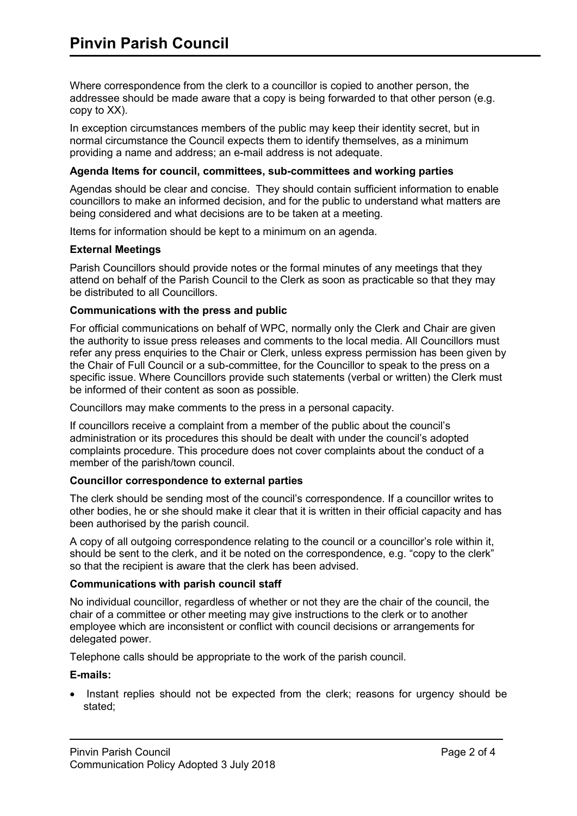Where correspondence from the clerk to a councillor is copied to another person, the addressee should be made aware that a copy is being forwarded to that other person (e.g. copy to XX).

In exception circumstances members of the public may keep their identity secret, but in normal circumstance the Council expects them to identify themselves, as a minimum providing a name and address; an e-mail address is not adequate.

## **Agenda Items for council, committees, sub-committees and working parties**

Agendas should be clear and concise. They should contain sufficient information to enable councillors to make an informed decision, and for the public to understand what matters are being considered and what decisions are to be taken at a meeting.

Items for information should be kept to a minimum on an agenda.

## **External Meetings**

Parish Councillors should provide notes or the formal minutes of any meetings that they attend on behalf of the Parish Council to the Clerk as soon as practicable so that they may be distributed to all Councillors.

### **Communications with the press and public**

For official communications on behalf of WPC, normally only the Clerk and Chair are given the authority to issue press releases and comments to the local media. All Councillors must refer any press enquiries to the Chair or Clerk, unless express permission has been given by the Chair of Full Council or a sub-committee, for the Councillor to speak to the press on a specific issue. Where Councillors provide such statements (verbal or written) the Clerk must be informed of their content as soon as possible.

Councillors may make comments to the press in a personal capacity.

If councillors receive a complaint from a member of the public about the council's administration or its procedures this should be dealt with under the council's adopted complaints procedure. This procedure does not cover complaints about the conduct of a member of the parish/town council.

## **Councillor correspondence to external parties**

The clerk should be sending most of the council's correspondence. If a councillor writes to other bodies, he or she should make it clear that it is written in their official capacity and has been authorised by the parish council.

A copy of all outgoing correspondence relating to the council or a councillor's role within it, should be sent to the clerk, and it be noted on the correspondence, e.g. "copy to the clerk" so that the recipient is aware that the clerk has been advised.

## **Communications with parish council staff**

No individual councillor, regardless of whether or not they are the chair of the council, the chair of a committee or other meeting may give instructions to the clerk or to another employee which are inconsistent or conflict with council decisions or arrangements for delegated power.

Telephone calls should be appropriate to the work of the parish council.

## **E-mails:**

• Instant replies should not be expected from the clerk; reasons for urgency should be stated;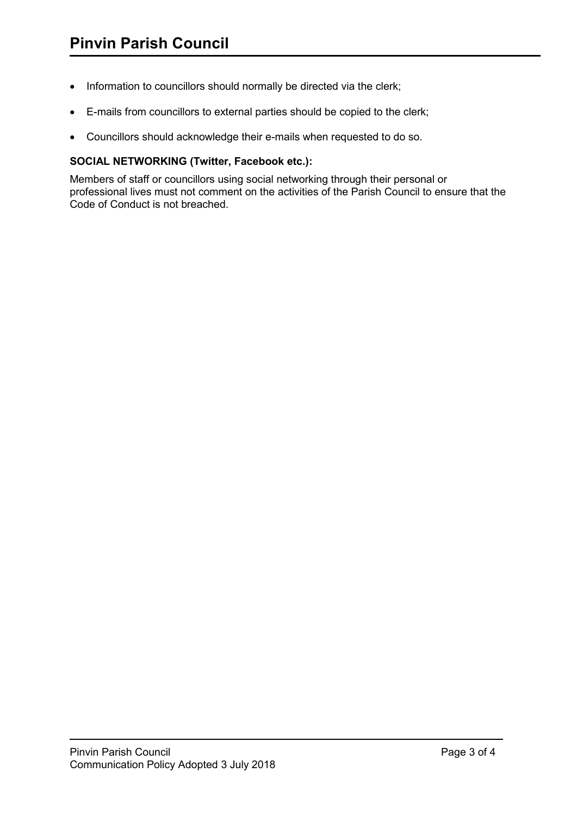- Information to councillors should normally be directed via the clerk;
- E-mails from councillors to external parties should be copied to the clerk;
- Councillors should acknowledge their e-mails when requested to do so.

## **SOCIAL NETWORKING (Twitter, Facebook etc.):**

Members of staff or councillors using social networking through their personal or professional lives must not comment on the activities of the Parish Council to ensure that the Code of Conduct is not breached.